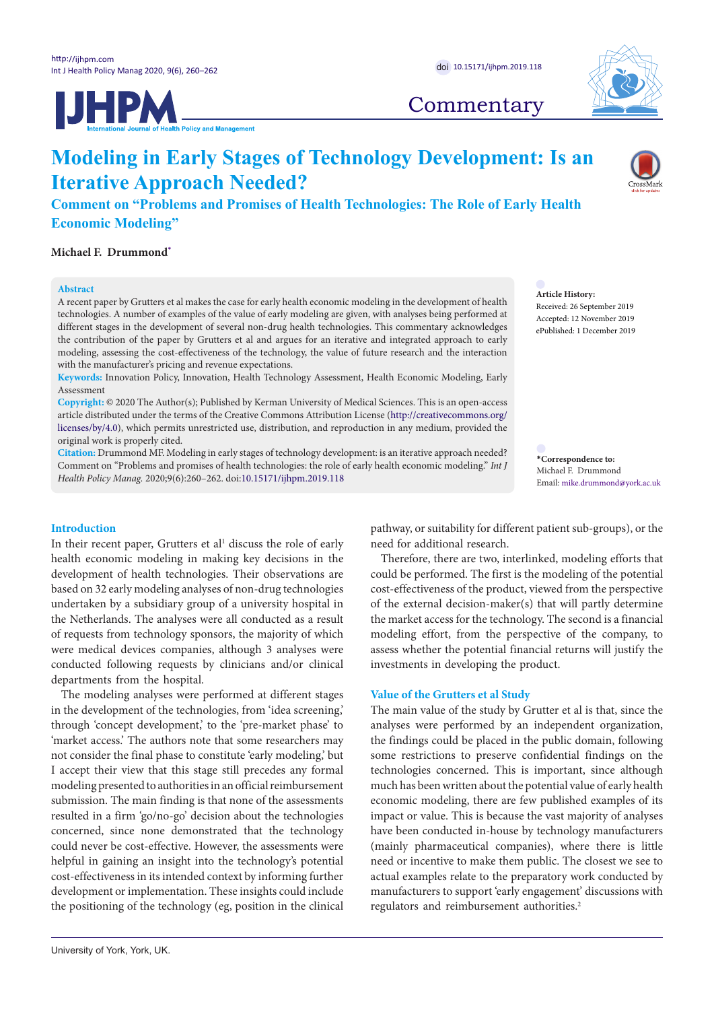**IJHPM** 



## **Commentary**

# **Modeling in Early Stages of Technology Development: Is an Iterative Approach Needed?**

**Comment on "Problems and Promises of Health Technologies: The Role of Early Health Economic Modeling"**

**Michael F. Drummond[\\*](#page-0-0)**

#### **Abstract**

A recent paper by Grutters et al makes the case for early health economic modeling in the development of health technologies. A number of examples of the value of early modeling are given, with analyses being performed at different stages in the development of several non-drug health technologies. This commentary acknowledges the contribution of the paper by Grutters et al and argues for an iterative and integrated approach to early modeling, assessing the cost-effectiveness of the technology, the value of future research and the interaction with the manufacturer's pricing and revenue expectations.

**Keywords:** Innovation Policy, Innovation, Health Technology Assessment, Health Economic Modeling, Early Assessment

**Copyright:** © 2020 The Author(s); Published by Kerman University of Medical Sciences. This is an open-access article distributed under the terms of the Creative Commons Attribution License ([http://creativecommons.org/](http://creativecommons.org/licenses/by/4.0) [licenses/by/4.0](http://creativecommons.org/licenses/by/4.0)), which permits unrestricted use, distribution, and reproduction in any medium, provided the original work is properly cited.

**Citation:** Drummond MF. Modeling in early stages of technology development: is an iterative approach needed? Comment on "Problems and promises of health technologies: the role of early health economic modeling." *Int J Health Policy Manag.* 2020;9(6):260–262. doi[:10.15171/ijhpm.2019.118](https://doi.org/10.15171/ijhpm.2019.118)

**Article History:** Received: 26 September 2019 Accepted: 12 November 2019 ePublished: 1 December 2019

<span id="page-0-0"></span>**\*Correspondence to:** Michael F. Drummond Email: mike.drummond@york.ac.uk

#### **Introduction**

In their recent paper, Grutters et al<sup>1</sup> discuss the role of early health economic modeling in making key decisions in the development of health technologies. Their observations are based on 32 early modeling analyses of non-drug technologies undertaken by a subsidiary group of a university hospital in the Netherlands. The analyses were all conducted as a result of requests from technology sponsors, the majority of which were medical devices companies, although 3 analyses were conducted following requests by clinicians and/or clinical departments from the hospital.

The modeling analyses were performed at different stages in the development of the technologies, from 'idea screening,' through 'concept development,' to the 'pre-market phase' to 'market access.' The authors note that some researchers may not consider the final phase to constitute 'early modeling,' but I accept their view that this stage still precedes any formal modeling presented to authorities in an official reimbursement submission. The main finding is that none of the assessments resulted in a firm 'go/no-go' decision about the technologies concerned, since none demonstrated that the technology could never be cost-effective. However, the assessments were helpful in gaining an insight into the technology's potential cost-effectiveness in its intended context by informing further development or implementation. These insights could include the positioning of the technology (eg, position in the clinical

pathway, or suitability for different patient sub-groups), or the need for additional research.

Therefore, there are two, interlinked, modeling efforts that could be performed. The first is the modeling of the potential cost-effectiveness of the product, viewed from the perspective of the external decision-maker(s) that will partly determine the market access for the technology. The second is a financial modeling effort, from the perspective of the company, to assess whether the potential financial returns will justify the investments in developing the product.

#### **Value of the Grutters et al Study**

The main value of the study by Grutter et al is that, since the analyses were performed by an independent organization, the findings could be placed in the public domain, following some restrictions to preserve confidential findings on the technologies concerned. This is important, since although much has been written about the potential value of early health economic modeling, there are few published examples of its impact or value. This is because the vast majority of analyses have been conducted in-house by technology manufacturers (mainly pharmaceutical companies), where there is little need or incentive to make them public. The closest we see to actual examples relate to the preparatory work conducted by manufacturers to support 'early engagement' discussions with regulators and reimbursement authorities.<sup>2</sup>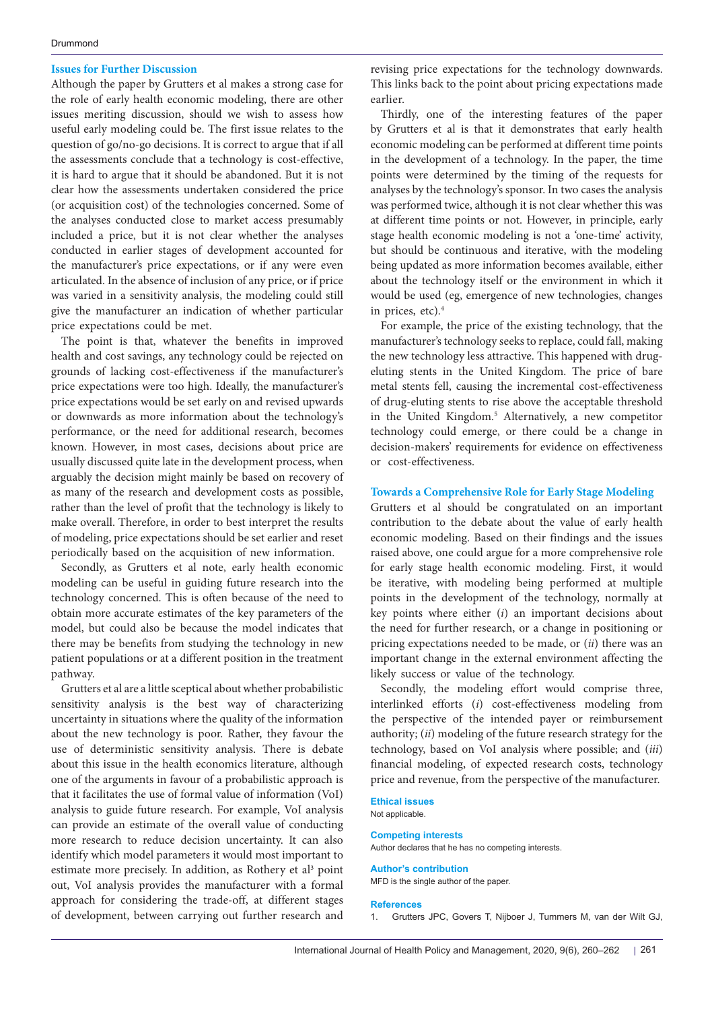#### **Issues for Further Discussion**

Although the paper by Grutters et al makes a strong case for the role of early health economic modeling, there are other issues meriting discussion, should we wish to assess how useful early modeling could be. The first issue relates to the question of go/no-go decisions. It is correct to argue that if all the assessments conclude that a technology is cost-effective, it is hard to argue that it should be abandoned. But it is not clear how the assessments undertaken considered the price (or acquisition cost) of the technologies concerned. Some of the analyses conducted close to market access presumably included a price, but it is not clear whether the analyses conducted in earlier stages of development accounted for the manufacturer's price expectations, or if any were even articulated. In the absence of inclusion of any price, or if price was varied in a sensitivity analysis, the modeling could still give the manufacturer an indication of whether particular price expectations could be met.

The point is that, whatever the benefits in improved health and cost savings, any technology could be rejected on grounds of lacking cost-effectiveness if the manufacturer's price expectations were too high. Ideally, the manufacturer's price expectations would be set early on and revised upwards or downwards as more information about the technology's performance, or the need for additional research, becomes known. However, in most cases, decisions about price are usually discussed quite late in the development process, when arguably the decision might mainly be based on recovery of as many of the research and development costs as possible, rather than the level of profit that the technology is likely to make overall. Therefore, in order to best interpret the results of modeling, price expectations should be set earlier and reset periodically based on the acquisition of new information.

Secondly, as Grutters et al note, early health economic modeling can be useful in guiding future research into the technology concerned. This is often because of the need to obtain more accurate estimates of the key parameters of the model, but could also be because the model indicates that there may be benefits from studying the technology in new patient populations or at a different position in the treatment pathway.

Grutters et al are a little sceptical about whether probabilistic sensitivity analysis is the best way of characterizing uncertainty in situations where the quality of the information about the new technology is poor. Rather, they favour the use of deterministic sensitivity analysis. There is debate about this issue in the health economics literature, although one of the arguments in favour of a probabilistic approach is that it facilitates the use of formal value of information (VoI) analysis to guide future research. For example, VoI analysis can provide an estimate of the overall value of conducting more research to reduce decision uncertainty. It can also identify which model parameters it would most important to estimate more precisely. In addition, as Rothery et al<sup>3</sup> point out, VoI analysis provides the manufacturer with a formal approach for considering the trade-off, at different stages of development, between carrying out further research and

revising price expectations for the technology downwards. This links back to the point about pricing expectations made earlier.

Thirdly, one of the interesting features of the paper by Grutters et al is that it demonstrates that early health economic modeling can be performed at different time points in the development of a technology. In the paper, the time points were determined by the timing of the requests for analyses by the technology's sponsor. In two cases the analysis was performed twice, although it is not clear whether this was at different time points or not. However, in principle, early stage health economic modeling is not a 'one-time' activity, but should be continuous and iterative, with the modeling being updated as more information becomes available, either about the technology itself or the environment in which it would be used (eg, emergence of new technologies, changes in prices, etc).4

For example, the price of the existing technology, that the manufacturer's technology seeks to replace, could fall, making the new technology less attractive. This happened with drugeluting stents in the United Kingdom. The price of bare metal stents fell, causing the incremental cost-effectiveness of drug-eluting stents to rise above the acceptable threshold in the United Kingdom.5 Alternatively, a new competitor technology could emerge, or there could be a change in decision-makers' requirements for evidence on effectiveness or cost-effectiveness.

#### **Towards a Comprehensive Role for Early Stage Modeling**

Grutters et al should be congratulated on an important contribution to the debate about the value of early health economic modeling. Based on their findings and the issues raised above, one could argue for a more comprehensive role for early stage health economic modeling. First, it would be iterative, with modeling being performed at multiple points in the development of the technology, normally at key points where either (*i*) an important decisions about the need for further research, or a change in positioning or pricing expectations needed to be made, or (*ii*) there was an important change in the external environment affecting the likely success or value of the technology.

Secondly, the modeling effort would comprise three, interlinked efforts (*i*) cost-effectiveness modeling from the perspective of the intended payer or reimbursement authority; (*ii*) modeling of the future research strategy for the technology, based on VoI analysis where possible; and (*iii*) financial modeling, of expected research costs, technology price and revenue, from the perspective of the manufacturer.

### **Ethical issues**

Not applicable.

#### **Competing interests**

Author declares that he has no competing interests.

#### **Author's contribution**

MFD is the single author of the paper.

#### **References**

1. Grutters JPC, Govers T, Nijboer J, Tummers M, van der Wilt GJ,